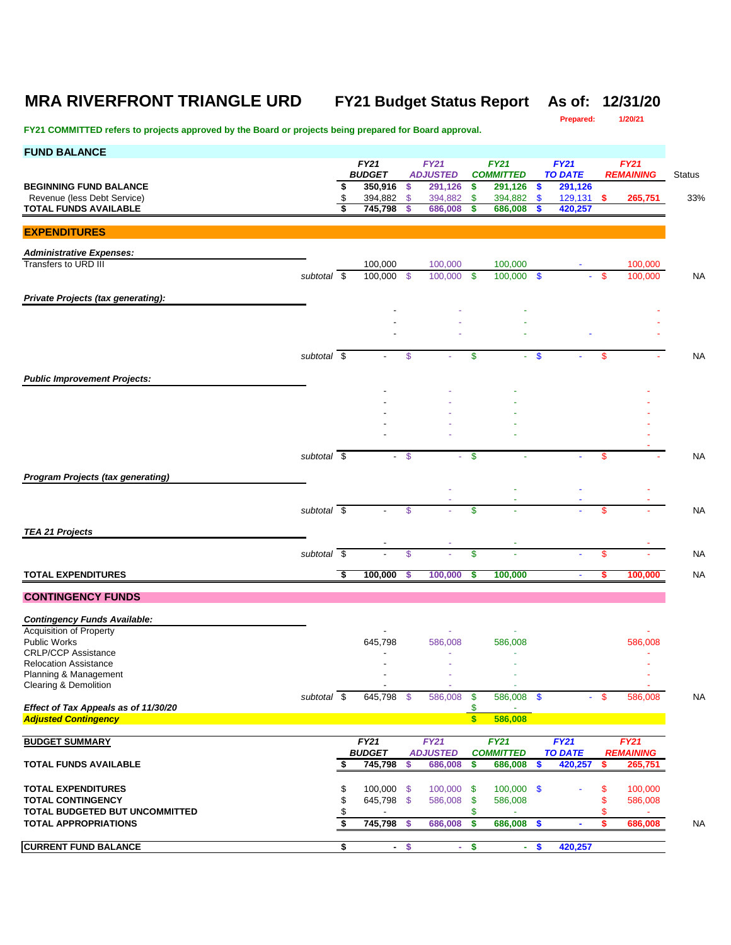# **MRA RIVERFRONT TRIANGLE URD FY21 Budget Status Report As of: 12/31/20**

**Prepared:** 

| <b>FUND BALANCE</b>                                                 |             |    |                          |                |                            |          |                             |                           |                           |     |                  |                |
|---------------------------------------------------------------------|-------------|----|--------------------------|----------------|----------------------------|----------|-----------------------------|---------------------------|---------------------------|-----|------------------|----------------|
|                                                                     |             |    | <b>FY21</b>              |                | <b>FY21</b>                |          | <b>FY21</b>                 |                           | <b>FY21</b>               |     | <b>FY21</b>      |                |
| <b>BEGINNING FUND BALANCE</b>                                       |             | \$ | <b>BUDGET</b><br>350,916 | \$             | <b>ADJUSTED</b><br>291,126 | \$       | <b>COMMITTED</b><br>291,126 | \$                        | <b>TO DATE</b><br>291,126 |     | <b>REMAINING</b> | <b>Status</b>  |
| Revenue (less Debt Service)                                         |             | \$ | 394,882                  | $\mathfrak{S}$ | 394,882                    | \$       | 394,882                     | $\boldsymbol{\mathsf{s}}$ | $129,131$ \$              |     | 265,751          | 33%            |
| <b>TOTAL FUNDS AVAILABLE</b>                                        |             |    | 745,798                  | \$             | 686,008                    | s        | 686,008                     | \$                        | 420,257                   |     |                  |                |
|                                                                     |             |    |                          |                |                            |          |                             |                           |                           |     |                  |                |
| <b>EXPENDITURES</b>                                                 |             |    |                          |                |                            |          |                             |                           |                           |     |                  |                |
| <b>Administrative Expenses:</b>                                     |             |    |                          |                |                            |          |                             |                           |                           |     |                  |                |
| Transfers to URD III                                                |             |    | 100,000                  |                | 100,000                    |          | 100,000                     |                           |                           |     | 100,000          |                |
|                                                                     | subtotal \$ |    | 100,000                  | - \$           | 100,000                    | - \$     | 100,000 \$                  |                           |                           | -\$ | 100,000          | NA             |
|                                                                     |             |    |                          |                |                            |          |                             |                           |                           |     |                  |                |
| Private Projects (tax generating):                                  |             |    |                          |                |                            |          |                             |                           |                           |     |                  |                |
|                                                                     |             |    |                          |                |                            |          |                             |                           |                           |     |                  |                |
|                                                                     |             |    |                          |                |                            |          |                             |                           |                           |     |                  |                |
|                                                                     |             |    |                          |                |                            |          |                             |                           |                           |     |                  |                |
|                                                                     | subtotal \$ |    |                          | \$             |                            | \$       | ÷.                          | $\mathbf{\$}$             |                           | \$  |                  | N۵             |
| <b>Public Improvement Projects:</b>                                 |             |    |                          |                |                            |          |                             |                           |                           |     |                  |                |
|                                                                     |             |    |                          |                |                            |          |                             |                           |                           |     |                  |                |
|                                                                     |             |    |                          |                |                            |          |                             |                           |                           |     |                  |                |
|                                                                     |             |    |                          |                |                            |          |                             |                           |                           |     |                  |                |
|                                                                     |             |    |                          |                |                            |          |                             |                           |                           |     |                  |                |
|                                                                     |             |    |                          |                |                            |          |                             |                           |                           |     |                  |                |
|                                                                     | subtotal \$ |    |                          | - \$           |                            | -\$      |                             |                           |                           | \$  |                  | N۵             |
| <b>Program Projects (tax generating)</b>                            |             |    |                          |                |                            |          |                             |                           |                           |     |                  |                |
|                                                                     |             |    |                          |                |                            |          |                             |                           |                           |     |                  |                |
|                                                                     |             |    |                          |                |                            |          |                             |                           |                           |     |                  |                |
|                                                                     | subtotal \$ |    |                          | \$             |                            | \$       |                             |                           |                           | \$  |                  | NA             |
| <b>TEA 21 Projects</b>                                              |             |    |                          |                |                            |          |                             |                           |                           |     |                  |                |
|                                                                     |             |    |                          |                |                            |          |                             |                           |                           |     |                  |                |
|                                                                     | subtotal \$ |    |                          | \$             |                            | \$       |                             |                           |                           | \$  |                  | NA             |
| <b>TOTAL EXPENDITURES</b>                                           |             | S, | 100,000                  | \$.            | 100,000                    | S        | 100,000                     |                           | $\blacksquare$            | s   | 100,000          | NA             |
|                                                                     |             |    |                          |                |                            |          |                             |                           |                           |     |                  |                |
| <b>CONTINGENCY FUNDS</b>                                            |             |    |                          |                |                            |          |                             |                           |                           |     |                  |                |
| <b>Contingency Funds Available:</b>                                 |             |    |                          |                |                            |          |                             |                           |                           |     |                  |                |
| <b>Acquisition of Property</b>                                      |             |    |                          |                |                            |          |                             |                           |                           |     |                  |                |
| <b>Public Works</b>                                                 |             |    | 645,798                  |                | 586,008                    |          | 586,008                     |                           |                           |     | 586,008          |                |
| <b>CRLP/CCP Assistance</b><br><b>Relocation Assistance</b>          |             |    |                          |                |                            |          |                             |                           |                           |     |                  |                |
| Planning & Management                                               |             |    |                          |                |                            |          |                             |                           |                           |     |                  |                |
| Clearing & Demolition                                               |             |    |                          |                |                            |          |                             |                           |                           |     |                  |                |
|                                                                     | subtotal \$ |    | 645,798 \$               |                | 586,008                    | -\$      | 586,008 \$                  |                           |                           | S   | 586,008          | N <sub>A</sub> |
| Effect of Tax Appeals as of 11/30/20<br><b>Adjusted Contingency</b> |             |    |                          |                |                            | \$<br>\$ | 586,008                     |                           |                           |     |                  |                |
|                                                                     |             |    |                          |                |                            |          |                             |                           |                           |     |                  |                |
| <b>BUDGET SUMMARY</b>                                               |             |    | FY21                     |                | <b>FY21</b>                |          | <b>FY21</b>                 |                           | FY21                      |     | <b>FY21</b>      |                |
|                                                                     |             |    | <b>BUDGET</b>            |                | <b>ADJUSTED</b>            |          | <b>COMMITTED</b>            |                           | <b>TO DATE</b>            |     | <b>REMAINING</b> |                |
| <b>TOTAL FUNDS AVAILABLE</b>                                        |             | \$ | 745,798                  | \$             | 686,008                    | \$       | 686,008                     | \$                        | 420,257                   | \$  | 265,751          |                |
| <b>TOTAL EXPENDITURES</b>                                           |             | \$ | $100,000$ \$             |                | 100,000                    | - \$     | $100,000$ \$                |                           |                           | \$  | 100,000          |                |
| <b>TOTAL CONTINGENCY</b>                                            |             | \$ | 645,798 \$               |                | 586,008                    | -\$      | 586,008                     |                           |                           | \$  | 586,008          |                |
| TOTAL BUDGETED BUT UNCOMMITTED                                      |             |    |                          |                |                            | \$       |                             |                           |                           |     |                  |                |
| <b>TOTAL APPROPRIATIONS</b>                                         |             | S. | 745,798                  | - \$           | 686,008                    | -\$      | 686,008 \$                  |                           | $\blacksquare$            | \$  | 686,008          | NA             |
| <b>CURRENT FUND BALANCE</b>                                         |             | \$ |                          |                |                            |          |                             | $\mathbf{\$}$             | 420,257                   |     |                  |                |
|                                                                     |             |    | $\blacksquare$           | \$             | ÷.                         | \$       | ×.                          |                           |                           |     |                  |                |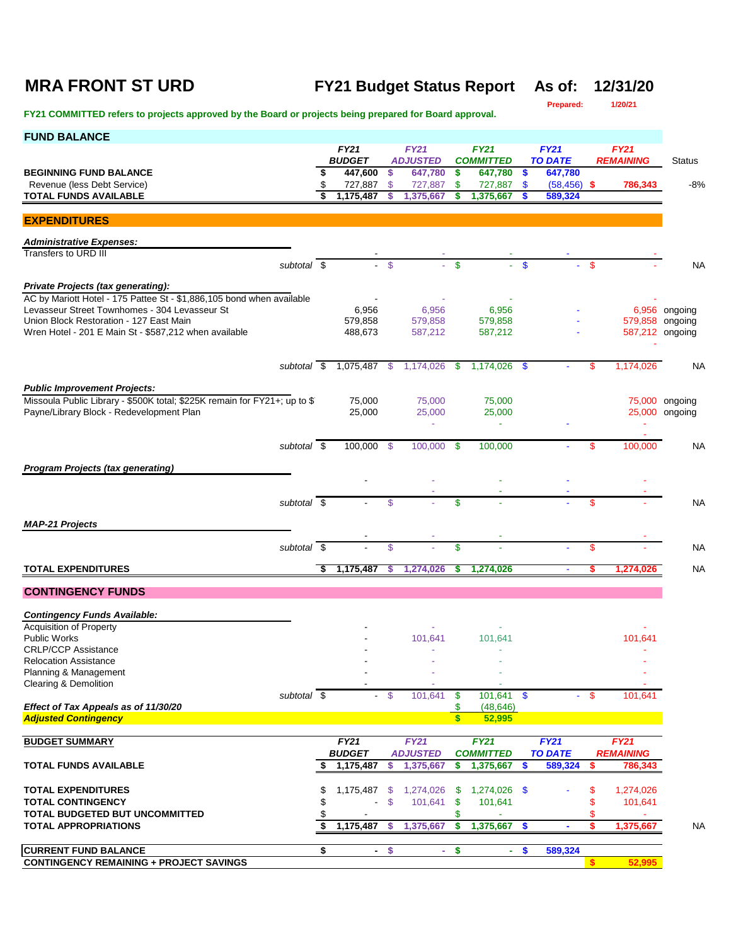# **MRA FRONT ST URD FY21 Budget Status Report As of: 12/31/20**

**Prepared:** 

| <b>FUND BALANCE</b>                                                                                                    |    |                          |                           |                            |              |                             |                           |                           |              |                  |                                  |
|------------------------------------------------------------------------------------------------------------------------|----|--------------------------|---------------------------|----------------------------|--------------|-----------------------------|---------------------------|---------------------------|--------------|------------------|----------------------------------|
|                                                                                                                        |    | <b>FY21</b>              |                           | <b>FY21</b>                |              | <b>FY21</b>                 |                           | FY21                      |              | <b>FY21</b>      |                                  |
| <b>BEGINNING FUND BALANCE</b>                                                                                          | \$ | <b>BUDGET</b><br>447,600 | \$                        | <b>ADJUSTED</b><br>647,780 | \$           | <b>COMMITTED</b><br>647,780 | <b>S</b>                  | <b>TO DATE</b><br>647,780 |              | <b>REMAINING</b> | <b>Status</b>                    |
| Revenue (less Debt Service)                                                                                            | \$ | 727,887                  | \$                        | 727,887                    | \$.          | 727,887                     | <b>S</b>                  | $(58, 456)$ \$            |              | 786,343          | $-8%$                            |
| <b>TOTAL FUNDS AVAILABLE</b>                                                                                           |    | 1,175,487                | \$                        | 1,375,667                  | \$           | 1,375,667                   | \$                        | 589,324                   |              |                  |                                  |
|                                                                                                                        |    |                          |                           |                            |              |                             |                           |                           |              |                  |                                  |
| <b>EXPENDITURES</b>                                                                                                    |    |                          |                           |                            |              |                             |                           |                           |              |                  |                                  |
| <b>Administrative Expenses:</b>                                                                                        |    |                          |                           |                            |              |                             |                           |                           |              |                  |                                  |
| Transfers to URD III<br>subtotal \$                                                                                    |    |                          | $-5$                      |                            | $\mathbf{s}$ |                             | $\mathbf{s}$              |                           | $\mathbf{s}$ |                  |                                  |
|                                                                                                                        |    |                          |                           |                            |              |                             |                           |                           |              |                  | <b>NA</b>                        |
| Private Projects (tax generating):                                                                                     |    |                          |                           |                            |              |                             |                           |                           |              |                  |                                  |
| AC by Mariott Hotel - 175 Pattee St - \$1,886,105 bond when available                                                  |    |                          |                           |                            |              |                             |                           |                           |              |                  |                                  |
| Levasseur Street Townhomes - 304 Levasseur St<br>Union Block Restoration - 127 East Main                               |    | 6,956<br>579,858         |                           | 6,956<br>579,858           |              | 6,956<br>579,858            |                           |                           |              |                  | 6,956 ongoing<br>579,858 ongoing |
| Wren Hotel - 201 E Main St - \$587,212 when available                                                                  |    | 488,673                  |                           | 587,212                    |              | 587,212                     |                           |                           |              |                  | 587,212 ongoing                  |
|                                                                                                                        |    |                          |                           |                            |              |                             |                           |                           |              |                  |                                  |
| subtotal \$                                                                                                            |    | 1,075,487 \$             |                           | $1,174,026$ \$             |              | 1,174,026 \$                |                           |                           | \$           | 1,174,026        | <b>NA</b>                        |
|                                                                                                                        |    |                          |                           |                            |              |                             |                           |                           |              |                  |                                  |
| <b>Public Improvement Projects:</b>                                                                                    |    |                          |                           |                            |              |                             |                           |                           |              |                  |                                  |
| Missoula Public Library - \$500K total; \$225K remain for FY21+; up to \$1<br>Payne/Library Block - Redevelopment Plan |    | 75,000<br>25,000         |                           | 75,000<br>25,000           |              | 75,000<br>25,000            |                           |                           |              |                  | 75,000 ongoing<br>25,000 ongoing |
|                                                                                                                        |    |                          |                           | Ξ                          |              | $\sim$                      |                           |                           |              |                  |                                  |
|                                                                                                                        |    |                          |                           |                            |              |                             |                           |                           |              |                  |                                  |
| subtotal \$                                                                                                            |    | 100,000 \$               |                           | 100,000 \$                 |              | 100,000                     |                           |                           | \$           | 100.000          | <b>NA</b>                        |
| <b>Program Projects (tax generating)</b>                                                                               |    |                          |                           |                            |              |                             |                           |                           |              |                  |                                  |
|                                                                                                                        |    |                          |                           |                            |              |                             |                           |                           |              |                  |                                  |
| subtotal $\overline{\$}$                                                                                               |    |                          | \$                        |                            | $\mathbf{s}$ |                             |                           |                           | \$           |                  | ΝA                               |
|                                                                                                                        |    |                          |                           |                            |              |                             |                           |                           |              |                  |                                  |
| <b>MAP-21 Projects</b>                                                                                                 |    |                          |                           |                            |              |                             |                           |                           |              |                  |                                  |
| subtotal \$                                                                                                            |    |                          | \$                        |                            | \$           |                             |                           |                           | \$           |                  | <b>NA</b>                        |
|                                                                                                                        |    |                          |                           |                            |              |                             |                           |                           |              |                  |                                  |
| <b>TOTAL EXPENDITURES</b>                                                                                              | \$ | 1,175,487                | \$                        | 1,274,026                  | s            | 1,274,026                   |                           |                           | s            | 1,274,026        | <b>NA</b>                        |
| <b>CONTINGENCY FUNDS</b>                                                                                               |    |                          |                           |                            |              |                             |                           |                           |              |                  |                                  |
| <b>Contingency Funds Available:</b>                                                                                    |    |                          |                           |                            |              |                             |                           |                           |              |                  |                                  |
| <b>Acquisition of Property</b>                                                                                         |    |                          |                           |                            |              |                             |                           |                           |              |                  |                                  |
| Public Works                                                                                                           |    |                          |                           | 101,641                    |              | 101,641                     |                           |                           |              | 101,641          |                                  |
| <b>CRLP/CCP Assistance</b>                                                                                             |    |                          |                           |                            |              |                             |                           |                           |              |                  |                                  |
| <b>Relocation Assistance</b>                                                                                           |    |                          |                           |                            |              |                             |                           |                           |              |                  |                                  |
| Planning & Management<br>Clearing & Demolition                                                                         |    |                          |                           |                            |              |                             |                           |                           |              |                  |                                  |
| subtotal \$                                                                                                            |    |                          | $-$ \$                    | 101,641                    | - \$         | 101,641                     | $\mathbf{\$}$             |                           | $-$ \$       | 101,641          |                                  |
| Effect of Tax Appeals as of 11/30/20                                                                                   |    |                          |                           |                            | \$           | (48, 646)                   |                           |                           |              |                  |                                  |
| <b>Adjusted Contingency</b>                                                                                            |    |                          |                           |                            | $\mathbf{s}$ | 52,995                      |                           |                           |              |                  |                                  |
| <b>BUDGET SUMMARY</b>                                                                                                  |    | FY21                     |                           | <b>FY21</b>                |              | <b>FY21</b>                 |                           | <b>FY21</b>               |              | <b>FY21</b>      |                                  |
|                                                                                                                        |    | <b>BUDGET</b>            |                           | <b>ADJUSTED</b>            |              | <b>COMMITTED</b>            |                           | <b>TO DATE</b>            |              | <b>REMAINING</b> |                                  |
| <b>TOTAL FUNDS AVAILABLE</b>                                                                                           | \$ | 1,175,487                | \$                        | 1,375,667                  | \$           | 1,375,667                   | S                         | 589,324                   | \$.          | 786,343          |                                  |
| <b>TOTAL EXPENDITURES</b>                                                                                              | \$ | 1,175,487                | -S                        | 1,274,026                  | - \$         | 1,274,026 \$                |                           |                           | \$           | 1,274,026        |                                  |
| <b>TOTAL CONTINGENCY</b>                                                                                               | \$ |                          | $\boldsymbol{\mathsf{S}}$ | 101,641                    | \$           | 101,641                     |                           |                           | \$           | 101,641          |                                  |
| TOTAL BUDGETED BUT UNCOMMITTED                                                                                         | \$ |                          |                           |                            | \$           |                             |                           |                           | \$           |                  |                                  |
| <b>TOTAL APPROPRIATIONS</b>                                                                                            | S  | 1,175,487                | S                         | 1,375,667                  | \$           | 1,375,667                   | $\mathbf{s}$              |                           | \$           | 1,375,667        | <b>NA</b>                        |
|                                                                                                                        |    |                          |                           |                            |              |                             |                           |                           |              |                  |                                  |
| <b>CURRENT FUND BALANCE</b><br><b>CONTINGENCY REMAINING + PROJECT SAVINGS</b>                                          | \$ | $\sim$                   | \$                        | $\sim$                     | \$           | ÷                           | $\boldsymbol{\mathsf{s}}$ | 589,324                   | \$           | 52,995           |                                  |
|                                                                                                                        |    |                          |                           |                            |              |                             |                           |                           |              |                  |                                  |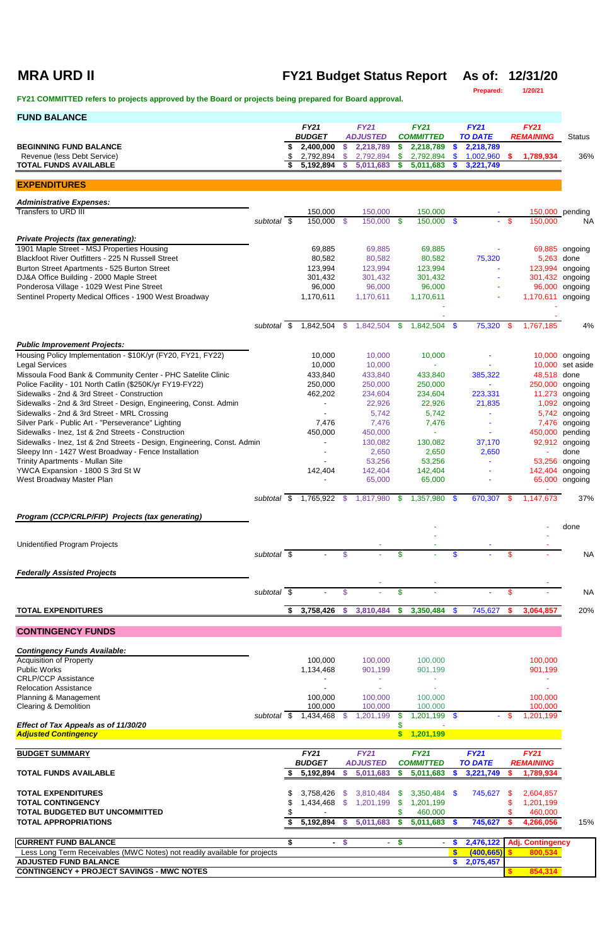## **MRA URD II FY21 Budget Status Report As of: 12/31/20**

**Prepared: 1/20/21**

| <b>FUND BALANCE</b>                                                                                             |             |    |                                     |                |                              |                   |                               |   |                             |      |                   |                    |
|-----------------------------------------------------------------------------------------------------------------|-------------|----|-------------------------------------|----------------|------------------------------|-------------------|-------------------------------|---|-----------------------------|------|-------------------|--------------------|
|                                                                                                                 |             |    | <b>FY21</b>                         |                | <b>FY21</b>                  |                   | <b>FY21</b>                   |   | <b>FY21</b>                 |      | <b>FY21</b>       |                    |
| <b>BEGINNING FUND BALANCE</b>                                                                                   |             | \$ | <b>BUDGET</b><br>2,400,000          | \$             | <b>ADJUSTED</b><br>2,218,789 | \$                | <b>COMMITTED</b><br>2,218,789 | S | <b>TO DATE</b><br>2,218,789 |      | <b>REMAINING</b>  | <b>Status</b>      |
| Revenue (less Debt Service)                                                                                     |             | \$ | 2,792,894                           | <sup>\$</sup>  | 2,792,894                    | \$                | 2,792,894                     |   | 1,002,960                   | \$   | 1,789,934         | 36%                |
| <b>TOTAL FUNDS AVAILABLE</b>                                                                                    |             | \$ | 5,192,894                           | S              | 5,011,683                    |                   | 5,011,683                     |   | 3,221,749                   |      |                   |                    |
| <b>EXPENDITURES</b>                                                                                             |             |    |                                     |                |                              |                   |                               |   |                             |      |                   |                    |
| <b>Administrative Expenses:</b>                                                                                 |             |    |                                     |                |                              |                   |                               |   |                             |      |                   |                    |
| Transfers to URD III                                                                                            |             |    | 150,000                             |                | 150,000                      |                   | 150,000                       |   |                             |      |                   | 150,000 pending    |
|                                                                                                                 | subtotal \$ |    | 150,000 \$                          |                | 150,000 \$                   |                   | 150,000 \$                    |   | $\sim$                      | - \$ | 150,000           | <b>NA</b>          |
| <b>Private Projects (tax generating):</b>                                                                       |             |    |                                     |                |                              |                   |                               |   |                             |      |                   |                    |
| 1901 Maple Street - MSJ Properties Housing                                                                      |             |    | 69,885                              |                | 69,885                       |                   | 69,885                        |   |                             |      |                   | 69,885 ongoing     |
| Blackfoot River Outfitters - 225 N Russell Street                                                               |             |    | 80,582                              |                | 80,582                       |                   | 80,582                        |   | 75,320                      |      | 5,263 done        |                    |
| Burton Street Apartments - 525 Burton Street                                                                    |             |    | 123,994                             |                | 123,994                      |                   | 123,994                       |   |                             |      | 123,994 ongoing   |                    |
| DJ&A Office Building - 2000 Maple Street<br>Ponderosa Village - 1029 West Pine Street                           |             |    | 301,432<br>96,000                   |                | 301,432<br>96,000            |                   | 301,432<br>96,000             |   |                             |      | 301,432<br>96,000 | ongoing<br>ongoing |
| Sentinel Property Medical Offices - 1900 West Broadway                                                          |             |    | 1,170,611                           |                | 1,170,611                    |                   | 1,170,611                     |   |                             |      | 1,170,611 ongoing |                    |
|                                                                                                                 |             |    |                                     |                |                              |                   |                               |   |                             |      |                   |                    |
|                                                                                                                 |             |    |                                     |                |                              |                   |                               |   |                             |      |                   |                    |
|                                                                                                                 | subtotal \$ |    | 1,842,504 \$                        |                | 1,842,504                    | $\mathbf{\$}$     | 1,842,504 \$                  |   | 75,320 \$                   |      | 1,767,185         | 4%                 |
| <b>Public Improvement Projects:</b>                                                                             |             |    |                                     |                |                              |                   |                               |   |                             |      |                   |                    |
| Housing Policy Implementation - \$10K/yr (FY20, FY21, FY22)                                                     |             |    | 10,000                              |                | 10,000                       |                   | 10,000                        |   |                             |      |                   | 10,000 ongoing     |
| <b>Legal Services</b>                                                                                           |             |    | 10,000                              |                | 10,000                       |                   |                               |   |                             |      |                   | 10,000 set aside   |
| Missoula Food Bank & Community Center - PHC Satelite Clinic                                                     |             |    | 433,840                             |                | 433,840                      |                   | 433,840                       |   | 385,322                     |      | 48,518 done       |                    |
| Police Facility - 101 North Catlin (\$250K/yr FY19-FY22)                                                        |             |    | 250,000                             |                | 250,000                      |                   | 250,000                       |   |                             |      | 250,000 ongoing   |                    |
| Sidewalks - 2nd & 3rd Street - Construction<br>Sidewalks - 2nd & 3rd Street - Design, Engineering, Const. Admin |             |    | 462,202<br>$\blacksquare$           |                | 234,604<br>22,926            |                   | 234,604<br>22,926             |   | 223,331<br>21,835           |      | 11,273<br>1,092   | ongoing            |
| Sidewalks - 2nd & 3rd Street - MRL Crossing                                                                     |             |    |                                     |                | 5,742                        |                   | 5,742                         |   |                             |      | 5,742             | ongoing<br>ongoing |
| Silver Park - Public Art - "Perseverance" Lighting                                                              |             |    | 7,476                               |                | 7,476                        |                   | 7,476                         |   |                             |      | 7,476             | ongoing            |
| Sidewalks - Inez, 1st & 2nd Streets - Construction                                                              |             |    | 450,000                             |                | 450,000                      |                   |                               |   |                             |      | 450,000           | pending            |
| Sidewalks - Inez, 1st & 2nd Streets - Design, Engineering, Const. Admin                                         |             |    |                                     |                | 130,082                      |                   | 130,082                       |   | 37,170                      |      | 92,912            | ongoing            |
| Sleepy Inn - 1427 West Broadway - Fence Installation                                                            |             |    |                                     |                | 2,650                        |                   | 2,650                         |   | 2,650                       |      |                   | done               |
| Trinity Apartments - Mullan Site                                                                                |             |    |                                     |                | 53,256                       |                   | 53,256                        |   |                             |      |                   | 53,256 ongoing     |
| YWCA Expansion - 1800 S 3rd St W                                                                                |             |    | 142,404                             |                | 142,404                      |                   | 142,404                       |   |                             |      |                   | 142,404 ongoing    |
| West Broadway Master Plan                                                                                       |             |    |                                     |                | 65,000                       |                   | 65,000                        |   |                             |      |                   | 65,000 ongoing     |
|                                                                                                                 |             |    | subtotal $\frac{1}{2}$ 1,765,922 \$ |                | 1,817,980                    | - \$              | $1,357,980$ \$                |   | 670,307                     |      | 1,147,673         | 37%                |
| Program (CCP/CRLP/FIP) Projects (tax generating)                                                                |             |    |                                     |                |                              |                   |                               |   |                             |      |                   |                    |
|                                                                                                                 |             |    |                                     |                |                              |                   |                               |   |                             |      |                   | done               |
| <b>Unidentified Program Projects</b>                                                                            |             |    |                                     |                |                              |                   |                               |   |                             |      |                   |                    |
|                                                                                                                 | subtotal \$ |    |                                     | \$.            |                              | \$                |                               |   |                             | \$.  |                   | <b>NA</b>          |
| <b>Federally Assisted Projects</b>                                                                              |             |    |                                     |                |                              |                   |                               |   |                             |      |                   |                    |
|                                                                                                                 |             |    |                                     |                |                              |                   | $\sim$                        |   |                             |      |                   |                    |
|                                                                                                                 | subtotal \$ |    |                                     | $\mathfrak{S}$ |                              | $\boldsymbol{\$}$ |                               |   |                             | \$   |                   | <b>NA</b>          |
| <b>TOTAL EXPENDITURES</b>                                                                                       |             | S. | 3,758,426                           | -S             | 3,810,484 \$                 |                   | $3,350,484$ \$                |   | 745,627                     | -S   | 3,064,857         | 20%                |
| <b>CONTINGENCY FUNDS</b>                                                                                        |             |    |                                     |                |                              |                   |                               |   |                             |      |                   |                    |
| <b>Contingency Funds Available:</b>                                                                             |             |    |                                     |                |                              |                   |                               |   |                             |      |                   |                    |
| <b>Acquisition of Property</b>                                                                                  |             |    | 100,000                             |                | 100,000                      |                   | 100,000                       |   |                             |      | 100,000           |                    |
| <b>Public Works</b>                                                                                             |             |    | 1,134,468                           |                | 901,199                      |                   | 901,199                       |   |                             |      | 901,199           |                    |
| <b>CRLP/CCP Assistance</b>                                                                                      |             |    |                                     |                |                              |                   |                               |   |                             |      |                   |                    |

| <b>Relocation Assistance</b>                                              |             |                |          |                 |          |                         |                |           |                  |     |
|---------------------------------------------------------------------------|-------------|----------------|----------|-----------------|----------|-------------------------|----------------|-----------|------------------|-----|
| Planning & Management                                                     |             | 100,000        |          | 100,000         |          | 100,000                 |                |           | 100,000          |     |
| Clearing & Demolition                                                     |             | 100,000        |          | 100,000         |          | 100,000                 |                |           | 100,000          |     |
|                                                                           | subtotal \$ | ,434,468       |          | 1,201,199       |          | $,201,199$ \$           |                |           | 1,201,199        |     |
| Effect of Tax Appeals as of 11/30/20                                      |             |                |          |                 |          |                         |                |           |                  |     |
| <b>Adjusted Contingency</b>                                               |             |                |          |                 | <b>S</b> | 1,201,199               |                |           |                  |     |
|                                                                           |             |                |          |                 |          |                         |                |           |                  |     |
| <b>BUDGET SUMMARY</b>                                                     |             | <b>FY21</b>    |          | <b>FY21</b>     |          | <b>FY21</b>             | FY21           |           | <b>FY21</b>      |     |
|                                                                           |             | <b>BUDGET</b>  |          | <b>ADJUSTED</b> |          | <i><b>COMMITTED</b></i> | <b>TO DATE</b> |           | <b>REMAINING</b> |     |
| <b>TOTAL FUNDS AVAILABLE</b>                                              |             | 5,192,894      |          | 5,011,683       |          | 5,011,683               | 3,221,749      |           | 1,789,934        |     |
| <b>TOTAL EXPENDITURES</b>                                                 | S           | 3,758,426      | -SS      | 3,810,484       | -SS      | $3,350,484$ \$          | 745,627        | <b>SS</b> | 2,604,857        |     |
| <b>TOTAL CONTINGENCY</b>                                                  |             | 84,434, ا      | -SS      | 1,201,199       | \$.      | 1,201,199               |                |           | 1,201,199        |     |
| <b>TOTAL BUDGETED BUT UNCOMMITTED</b>                                     |             |                |          |                 |          | 460,000                 |                |           | 460,000          |     |
| <b>TOTAL APPROPRIATIONS</b>                                               |             | 5,192,894      |          | 5,011,683       |          | 5,011,683               | 745,627        |           | 4,266,056        | 15% |
| <b>CURRENT FUND BALANCE</b>                                               |             | $\blacksquare$ | <b>S</b> | $\sim$          |          |                         | 2,476,122      |           | Adj. Contingency |     |
| Less Long Term Receivables (MWC Notes) not readily available for projects |             |                |          |                 |          |                         | (400, 665)     |           | 800,534          |     |
| <b>ADJUSTED FUND BALANCE</b>                                              |             |                |          |                 |          |                         | 2,075,457      |           |                  |     |
| <b>CONTINGENCY + PROJECT SAVINGS - MWC NOTES</b>                          |             |                |          |                 |          |                         |                |           | 854,314          |     |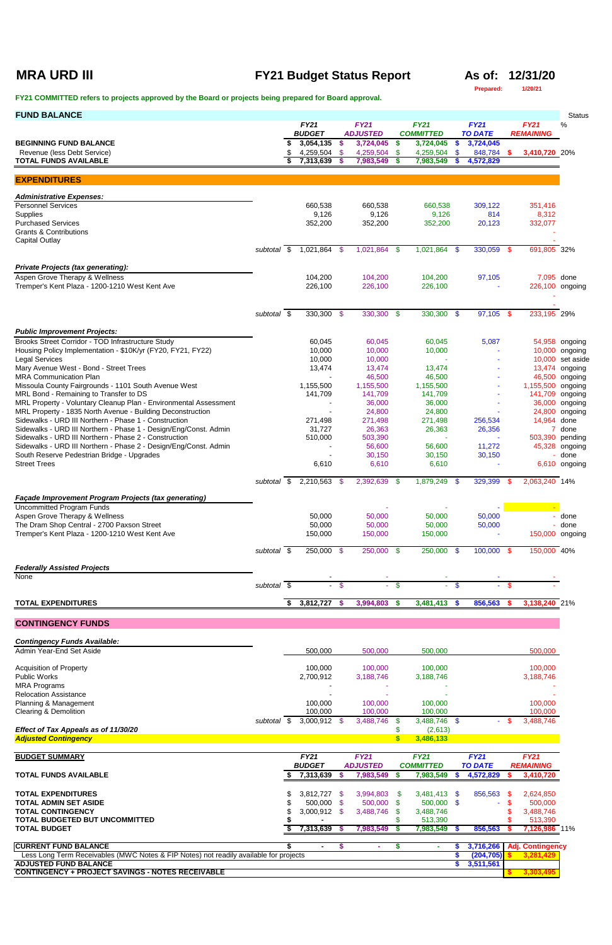## **MRA URD III FY21 Budget Status Report As of: 12/31/20**

### **Prepared: 1/20/21**

| <b>FUND BALANCE</b>                                                                                                       |                          |                              |               |                                |               |                                 |                    |                               |            |                                 | <b>Status</b>                      |
|---------------------------------------------------------------------------------------------------------------------------|--------------------------|------------------------------|---------------|--------------------------------|---------------|---------------------------------|--------------------|-------------------------------|------------|---------------------------------|------------------------------------|
|                                                                                                                           |                          | <b>FY21</b><br><b>BUDGET</b> |               | <b>FY21</b><br><b>ADJUSTED</b> |               | <b>FY21</b><br><b>COMMITTED</b> |                    | <b>FY21</b><br><b>TO DATE</b> |            | <b>FY21</b><br><b>REMAINING</b> | %                                  |
| <b>BEGINNING FUND BALANCE</b>                                                                                             |                          | 3,054,135                    | $\mathbf{\$}$ | 3,724,045                      | \$            | 3,724,045                       | $\mathbf{\$}$      | 3,724,045                     |            |                                 |                                    |
| Revenue (less Debt Service)<br><b>TOTAL FUNDS AVAILABLE</b>                                                               |                          | 4,259,504 \$<br>7,313,639    | -S            | 4,259,504<br>7,983,549         | \$<br>S.      | 4,259,504<br>7,983,549          | $\mathbf{\$}$<br>S | 848,784<br>4,572,829          | \$.        | 3,410,720 20%                   |                                    |
| <b>EXPENDITURES</b>                                                                                                       |                          |                              |               |                                |               |                                 |                    |                               |            |                                 |                                    |
| <b>Administrative Expenses:</b>                                                                                           |                          |                              |               |                                |               |                                 |                    |                               |            |                                 |                                    |
| <b>Personnel Services</b>                                                                                                 |                          | 660,538                      |               | 660,538                        |               | 660,538                         |                    | 309,122                       |            | 351,416                         |                                    |
| Supplies<br><b>Purchased Services</b>                                                                                     |                          | 9,126<br>352,200             |               | 9,126<br>352,200               |               | 9,126<br>352,200                |                    | 814<br>20,123                 |            | 8,312<br>332,077                |                                    |
| <b>Grants &amp; Contributions</b>                                                                                         |                          |                              |               |                                |               |                                 |                    |                               |            |                                 |                                    |
| <b>Capital Outlay</b>                                                                                                     |                          |                              |               |                                |               |                                 |                    |                               |            |                                 |                                    |
|                                                                                                                           | subtotal \$              | 1,021,864 \$                 |               | 1,021,864 \$                   |               | $1,021,864$ \$                  |                    | 330,059                       | - \$       | 691,805 32%                     |                                    |
| <b>Private Projects (tax generating):</b>                                                                                 |                          |                              |               |                                |               |                                 |                    |                               |            |                                 |                                    |
| Aspen Grove Therapy & Wellness<br>Tremper's Kent Plaza - 1200-1210 West Kent Ave                                          |                          | 104,200<br>226,100           |               | 104,200<br>226,100             |               | 104,200<br>226,100              |                    | 97,105                        |            | 7,095 done                      | 226,100 ongoing                    |
|                                                                                                                           |                          |                              |               |                                |               |                                 |                    |                               |            |                                 |                                    |
|                                                                                                                           | subtotal $\overline{\$}$ | 330,300 \$                   |               | 330,300 \$                     |               | $330,300$ \$                    |                    | 97,105                        | -\$        | 233,195 29%                     |                                    |
| <b>Public Improvement Projects:</b>                                                                                       |                          |                              |               |                                |               |                                 |                    |                               |            |                                 |                                    |
| Brooks Street Corridor - TOD Infrastructure Study                                                                         |                          | 60,045                       |               | 60,045                         |               | 60,045                          |                    | 5,087                         |            |                                 | 54,958 ongoing                     |
| Housing Policy Implementation - \$10K/yr (FY20, FY21, FY22)                                                               |                          | 10,000                       |               | 10,000                         |               | 10,000                          |                    |                               |            |                                 | 10,000 ongoing                     |
| <b>Legal Services</b><br>Mary Avenue West - Bond - Street Trees                                                           |                          | 10,000<br>13,474             |               | 10,000<br>13,474               |               | 13,474                          |                    |                               |            |                                 | 10,000 set aside<br>13,474 ongoing |
| <b>MRA Communication Plan</b>                                                                                             |                          |                              |               | 46,500                         |               | 46,500                          |                    |                               |            |                                 | 46,500 ongoing                     |
| Missoula County Fairgrounds - 1101 South Avenue West                                                                      |                          | 1,155,500                    |               | 1,155,500                      |               | 1,155,500                       |                    |                               |            | 1,155,500 ongoing               |                                    |
| MRL Bond - Remaining to Transfer to DS<br>MRL Property - Voluntary Cleanup Plan - Environmental Assessment                |                          | 141,709                      |               | 141,709<br>36,000              |               | 141,709<br>36,000               |                    |                               |            |                                 | 141,709 ongoing<br>36,000 ongoing  |
| MRL Property - 1835 North Avenue - Building Deconstruction                                                                |                          |                              |               | 24,800                         |               | 24,800                          |                    |                               |            |                                 | 24,800 ongoing                     |
| Sidewalks - URD III Northern - Phase 1 - Construction                                                                     |                          | 271,498                      |               | 271,498                        |               | 271,498                         |                    | 256,534                       |            | 14,964 done                     |                                    |
| Sidewalks - URD III Northern - Phase 1 - Design/Eng/Const. Admin<br>Sidewalks - URD III Northern - Phase 2 - Construction |                          | 31,727<br>510,000            |               | 26,363<br>503,390              |               | 26,363                          |                    | 26,356                        |            |                                 | 7 done<br>503,390 pending          |
| Sidewalks - URD III Northern - Phase 2 - Design/Eng/Const. Admin                                                          |                          |                              |               | 56,600                         |               | 56,600                          |                    | 11,272                        |            |                                 | 45,328 ongoing                     |
| South Reserve Pedestrian Bridge - Upgrades<br><b>Street Trees</b>                                                         |                          | 6,610                        |               | 30,150<br>6,610                |               | 30,150<br>6,610                 |                    | 30,150                        |            |                                 | done<br>6,610 ongoing              |
|                                                                                                                           |                          |                              |               |                                |               |                                 |                    |                               |            |                                 |                                    |
|                                                                                                                           | subtotal \$              | $2,210,563$ \$               |               | 2,392,639 \$                   |               | 1,879,249 \$                    |                    | 329,399                       | - \$       | 2,063,240 14%                   |                                    |
| <b>Façade Improvement Program Projects (tax generating)</b><br><b>Uncommitted Program Funds</b>                           |                          |                              |               |                                |               |                                 |                    |                               |            |                                 |                                    |
| Aspen Grove Therapy & Wellness                                                                                            |                          | 50,000                       |               | 50,000                         |               | 50,000                          |                    | 50,000                        |            |                                 | done                               |
| The Dram Shop Central - 2700 Paxson Street                                                                                |                          | 50,000                       |               | 50,000                         |               | 50,000                          |                    | 50,000                        |            |                                 | done                               |
| Tremper's Kent Plaza - 1200-1210 West Kent Ave                                                                            |                          | 150,000                      |               | 150,000                        |               | 150,000                         |                    |                               |            |                                 | 150,000 ongoing                    |
|                                                                                                                           | subtotal \$              | 250,000 \$                   |               | 250,000 \$                     |               | 250,000 \$                      |                    | $100,000$ \$                  |            | 150,000 40%                     |                                    |
| <b>Federally Assisted Projects</b>                                                                                        |                          |                              |               |                                |               |                                 |                    |                               |            |                                 |                                    |
| <b>None</b>                                                                                                               | subtotal \$              |                              | $-$ \$        |                                | $\mathbf{\$}$ |                                 | - \$               |                               | - \$       |                                 |                                    |
| <b>TOTAL EXPENDITURES</b>                                                                                                 |                          | 3,812,727 \$                 |               | 3,994,803                      | $\frac{2}{3}$ | $3,481,413$ \$                  |                    | 856,563                       | $\sqrt{3}$ | 3,138,240 21%                   |                                    |
| <b>CONTINGENCY FUNDS</b>                                                                                                  |                          |                              |               |                                |               |                                 |                    |                               |            |                                 |                                    |
|                                                                                                                           |                          |                              |               |                                |               |                                 |                    |                               |            |                                 |                                    |
| <b>Contingency Funds Available:</b><br>Admin Year-End Set Aside                                                           |                          | 500,000                      |               | 500,000                        |               | 500,000                         |                    |                               |            | 500,000                         |                                    |
| <b>Acquisition of Property</b>                                                                                            |                          | 100,000                      |               | 100,000                        |               | 100,000                         |                    |                               |            | 100,000                         |                                    |
| Public Works                                                                                                              |                          | 2,700,912                    |               | 3,188,746                      |               | 3,188,746                       |                    |                               |            | 3,188,746                       |                                    |
| <b>MRA Programs</b>                                                                                                       |                          |                              |               |                                |               |                                 |                    |                               |            |                                 |                                    |

| <b>Relocation Assistance</b>                                                          |             |                |      |                 |     |                  |                |                         |  |
|---------------------------------------------------------------------------------------|-------------|----------------|------|-----------------|-----|------------------|----------------|-------------------------|--|
| Planning & Management                                                                 |             | 100,000        |      | 100,000         |     | 100,000          |                | 100,000                 |  |
| <b>Clearing &amp; Demolition</b>                                                      |             | 100,000        |      | 100,000         |     | 100,000          |                | 100,000                 |  |
|                                                                                       | subtotal \$ | $3,000,912$ \$ |      | 3,488,746       | S.  | $3,488,746$ \$   | $\sim$         | 3,488,746               |  |
| Effect of Tax Appeals as of 11/30/20                                                  |             |                |      |                 |     | (2,613)          |                |                         |  |
| <b>Adjusted Contingency</b>                                                           |             |                |      |                 |     | 3,486,133        |                |                         |  |
| <b>BUDGET SUMMARY</b>                                                                 |             | <b>FY21</b>    |      | <b>FY21</b>     |     | <b>FY21</b>      | FY21           | <b>FY21</b>             |  |
|                                                                                       |             | <b>BUDGET</b>  |      | <b>ADJUSTED</b> |     | <b>COMMITTED</b> | <b>TO DATE</b> | <b>REMAINING</b>        |  |
| <b>TOTAL FUNDS AVAILABLE</b>                                                          |             | 7,313,639      |      | 7,983,549       |     | 7,983,549        | 4,572,829      | 3,410,720               |  |
| <b>TOTAL EXPENDITURES</b>                                                             |             | 3,812,727      | - \$ | 3,994,803       | -SS | $3,481,413$ \$   | 856,563 \$     | 2,624,850               |  |
| <b>TOTAL ADMIN SET ASIDE</b>                                                          |             | 500,000        | - \$ | 500,000         |     | 500,000 \$       |                | 500,000                 |  |
| <b>TOTAL CONTINGENCY</b>                                                              |             | 3,000,912      |      | 3,488,746       |     | 3,488,746        |                | 3,488,746               |  |
| TOTAL BUDGETED BUT UNCOMMITTED                                                        |             |                |      |                 |     | 513,390          |                | 513,390                 |  |
| <b>TOTAL BUDGET</b>                                                                   |             | 7,313,639      |      | 7,983,549       |     | 7,983,549        | 856,563        | 7,126,986 11%           |  |
| <b>CURRENT FUND BALANCE</b>                                                           |             |                | \$   |                 |     | ж.               | 3,716,266      | <b>Adj. Contingency</b> |  |
| Less Long Term Receivables (MWC Notes & FIP Notes) not readily available for projects |             |                |      |                 |     |                  | (204, 705)     | 3,281,429               |  |
| <b>ADJUSTED FUND BALANCE</b>                                                          |             |                |      |                 |     |                  | 3,511,561      |                         |  |
| <b>CONTINGENCY + PROJECT SAVINGS - NOTES RECEIVABLE</b>                               |             |                |      |                 |     |                  |                | 3,303,495               |  |
|                                                                                       |             |                |      |                 |     |                  |                |                         |  |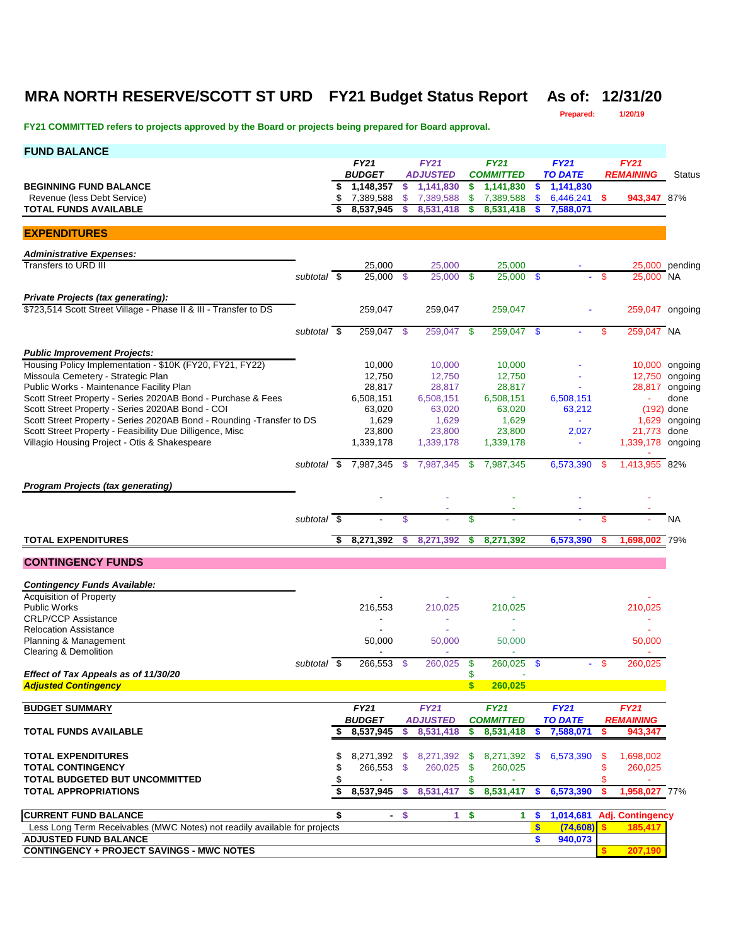## **MRA NORTH RESERVE/SCOTT ST URD FY21 Budget Status Report As of: 12/31/20**

**Prepared: 1/20/19**

| <b>FUND BALANCE</b>                                                                                    |             |          |                                     |                     |                                |                                 |                          |               |                        |          |                                 |                                  |
|--------------------------------------------------------------------------------------------------------|-------------|----------|-------------------------------------|---------------------|--------------------------------|---------------------------------|--------------------------|---------------|------------------------|----------|---------------------------------|----------------------------------|
|                                                                                                        |             |          | <b>FY21</b>                         |                     | <b>FY21</b>                    |                                 | <b>FY21</b>              |               | <b>FY21</b>            |          | <b>FY21</b>                     |                                  |
|                                                                                                        |             |          | <b>BUDGET</b>                       |                     | <b>ADJUSTED</b>                |                                 | <b>COMMITTED</b>         |               | <b>TO DATE</b>         |          | <b>REMAINING</b>                | <b>Status</b>                    |
| <b>BEGINNING FUND BALANCE</b><br>Revenue (less Debt Service)                                           |             | \$       | \$1,148,357<br>7,389,588            | \$<br>$\mathcal{S}$ | 1,141,830<br>7,389,588         | \$<br>$\boldsymbol{\mathsf{s}}$ | 1,141,830<br>7,389,588   | \$<br>\$      | 1,141,830<br>6,446,241 | s        | 943,347 87%                     |                                  |
| <b>TOTAL FUNDS AVAILABLE</b>                                                                           |             |          | 8.537.945                           |                     | 8,531,418                      | S.                              | 8.531.418                |               | 7,588,071              |          |                                 |                                  |
| <b>EXPENDITURES</b>                                                                                    |             |          |                                     |                     |                                |                                 |                          |               |                        |          |                                 |                                  |
|                                                                                                        |             |          |                                     |                     |                                |                                 |                          |               |                        |          |                                 |                                  |
| <b>Administrative Expenses:</b><br>Transfers to URD III                                                |             |          | 25,000                              |                     | 25,000                         |                                 | 25,000                   |               |                        |          |                                 | 25,000 pending                   |
|                                                                                                        | subtotal \$ |          | 25,000 \$                           |                     | 25,000 \$                      |                                 | $25,000$ \$              |               |                        | <b>S</b> | 25,000 NA                       |                                  |
| Private Projects (tax generating):<br>\$723,514 Scott Street Village - Phase II & III - Transfer to DS |             |          | 259,047                             |                     | 259,047                        |                                 | 259,047                  |               |                        |          | 259,047 ongoing                 |                                  |
|                                                                                                        |             |          |                                     |                     |                                |                                 |                          |               |                        |          |                                 |                                  |
|                                                                                                        | subtotal \$ |          | 259,047 \$                          |                     | 259,047                        | - \$                            | 259,047                  | - \$          |                        | S        | 259,047 NA                      |                                  |
| <b>Public Improvement Projects:</b>                                                                    |             |          |                                     |                     |                                |                                 |                          |               |                        |          |                                 |                                  |
| Housing Policy Implementation - \$10K (FY20, FY21, FY22)                                               |             |          | 10,000                              |                     | 10,000                         |                                 | 10,000                   |               |                        |          |                                 | 10,000 ongoing                   |
| Missoula Cemetery - Strategic Plan<br>Public Works - Maintenance Facility Plan                         |             |          | 12,750<br>28,817                    |                     | 12,750<br>28,817               |                                 | 12,750<br>28,817         |               |                        |          |                                 | 12,750 ongoing<br>28,817 ongoing |
| Scott Street Property - Series 2020AB Bond - Purchase & Fees                                           |             |          | 6,508,151                           |                     | 6,508,151                      |                                 | 6,508,151                |               | 6,508,151              |          |                                 | done                             |
| Scott Street Property - Series 2020AB Bond - COI                                                       |             |          | 63,020                              |                     | 63,020                         |                                 | 63,020                   |               | 63,212                 |          |                                 | $(192)$ done                     |
| Scott Street Property - Series 2020AB Bond - Rounding - Transfer to DS                                 |             |          | 1,629                               |                     | 1,629                          |                                 | 1,629                    |               |                        |          |                                 | 1,629 ongoing                    |
| Scott Street Property - Feasibility Due Dilligence, Misc                                               |             |          | 23,800                              |                     | 23,800                         |                                 | 23.800                   |               | 2,027                  |          | 21,773 done                     |                                  |
| Villagio Housing Project - Otis & Shakespeare                                                          |             |          | 1,339,178                           |                     | 1,339,178                      |                                 | 1,339,178                |               | $\blacksquare$         |          | 1,339,178 ongoing               |                                  |
|                                                                                                        |             |          | subtotal \$ 7,987,345 \$            |                     | 7,987,345                      | $\mathbf{\$}$                   | 7,987,345                |               | 6,573,390              | -\$      | 1.413.955 82%                   |                                  |
| <b>Program Projects (tax generating)</b>                                                               |             |          |                                     |                     |                                |                                 |                          |               |                        |          |                                 |                                  |
|                                                                                                        |             |          |                                     |                     |                                |                                 |                          |               |                        |          |                                 |                                  |
|                                                                                                        | subtotal \$ |          |                                     | \$                  |                                | \$                              |                          |               |                        | \$       |                                 | NA                               |
|                                                                                                        |             |          |                                     |                     |                                |                                 |                          |               |                        |          |                                 |                                  |
| <b>TOTAL EXPENDITURES</b>                                                                              |             |          | 8,271,392                           | S.                  | 8,271,392                      | \$                              | 8,271,392                |               | 6,573,390              | s        | 1,698,002 79%                   |                                  |
| <b>CONTINGENCY FUNDS</b>                                                                               |             |          |                                     |                     |                                |                                 |                          |               |                        |          |                                 |                                  |
| <b>Contingency Funds Available:</b>                                                                    |             |          |                                     |                     |                                |                                 |                          |               |                        |          |                                 |                                  |
| <b>Acquisition of Property</b>                                                                         |             |          |                                     |                     |                                |                                 |                          |               |                        |          |                                 |                                  |
| <b>Public Works</b>                                                                                    |             |          | 216,553                             |                     | 210,025                        |                                 | 210,025                  |               |                        |          | 210,025                         |                                  |
| <b>CRLP/CCP Assistance</b>                                                                             |             |          |                                     |                     | ÷,                             |                                 | $\overline{\phantom{a}}$ |               |                        |          |                                 |                                  |
| <b>Relocation Assistance</b>                                                                           |             |          |                                     |                     |                                |                                 |                          |               |                        |          |                                 |                                  |
| Planning & Management                                                                                  |             |          | 50,000                              |                     | 50.000                         |                                 | 50,000                   |               |                        |          | 50,000                          |                                  |
| Clearing & Demolition                                                                                  | subtotal \$ |          | $\overline{\phantom{a}}$<br>266,553 | $\mathcal{S}$       | 260,025                        | -\$                             | 260,025                  | $\mathbf{\$}$ |                        | - \$     | 260,025                         |                                  |
| Effect of Tax Appeals as of 11/30/20                                                                   |             |          |                                     |                     |                                | \$                              |                          |               |                        |          |                                 |                                  |
| <b>Adjusted Contingency</b>                                                                            |             |          |                                     |                     |                                | $\mathbf{s}$                    | 260,025                  |               |                        |          |                                 |                                  |
|                                                                                                        |             |          |                                     |                     |                                |                                 |                          |               |                        |          |                                 |                                  |
| <b>BUDGET SUMMARY</b>                                                                                  |             |          | <b>FY21</b><br><b>BUDGET</b>        |                     | <b>FY21</b><br><b>ADJUSTED</b> |                                 | FY21<br><b>COMMITTED</b> |               | FY21<br><b>TO DATE</b> |          | <b>FY21</b><br><b>REMAINING</b> |                                  |
| <b>TOTAL FUNDS AVAILABLE</b>                                                                           |             | \$       | 8,537,945                           | S                   | 8,531,418                      | \$                              | 8,531,418                | \$            | 7,588,071              | S        | 943,347                         |                                  |
|                                                                                                        |             |          |                                     |                     |                                |                                 |                          |               |                        |          |                                 |                                  |
| <b>TOTAL EXPENDITURES</b>                                                                              |             | \$       | 8,271,392 \$                        |                     | 8,271,392 \$                   |                                 |                          |               | 8,271,392 \$ 6,573,390 | -\$      | 1,698,002                       |                                  |
| <b>TOTAL CONTINGENCY</b>                                                                               |             | \$       | 266,553 \$                          |                     | 260,025                        | -\$                             | 260,025                  |               |                        | \$       | 260,025                         |                                  |
| <b>TOTAL BUDGETED BUT UNCOMMITTED</b><br><b>TOTAL APPROPRIATIONS</b>                                   |             | \$<br>\$ | 8,537,945                           | S.                  | 8,531,417                      | \$<br>\$                        | 8,531,417                | \$            | 6,573,390              | \$<br>\$ | 1,958,027 77%                   |                                  |
|                                                                                                        |             |          |                                     |                     |                                |                                 |                          |               |                        |          |                                 |                                  |
| <b>CURRENT FUND BALANCE</b>                                                                            |             | \$       | $\blacksquare$                      | \$                  | 1.                             | \$                              | 1.                       | \$            |                        |          | 1,014,681 Adj. Contingency      |                                  |
| Less Long Term Receivables (MWC Notes) not readily available for projects                              |             |          |                                     |                     |                                |                                 |                          | \$            | (74, 608)              |          | 185,417                         |                                  |
| <b>ADJUSTED FUND BALANCE</b>                                                                           |             |          |                                     |                     |                                |                                 |                          | \$            | 940,073                |          |                                 |                                  |
| <b>CONTINGENCY + PROJECT SAVINGS - MWC NOTES</b>                                                       |             |          |                                     |                     |                                |                                 |                          |               |                        |          | 207,190                         |                                  |